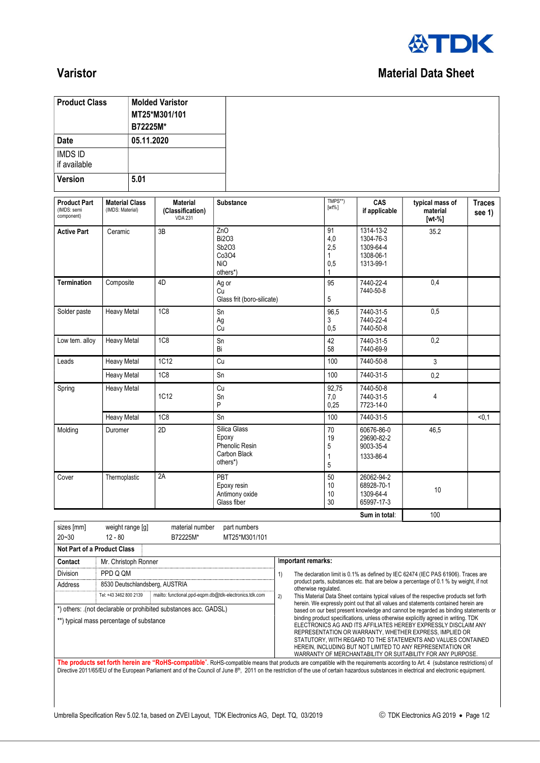

## **Varistor** Material Data Sheet

| <b>Product Class</b>                                                                                                     |                                                                                                                                                                                        | B72225M*   | <b>Molded Varistor</b><br>MT25*M301/101               |                                                                     |  |                                                                                                                                                                                                                                                                                                                                                                                           |                                     |                                                               |                                                                                    |                         |  |
|--------------------------------------------------------------------------------------------------------------------------|----------------------------------------------------------------------------------------------------------------------------------------------------------------------------------------|------------|-------------------------------------------------------|---------------------------------------------------------------------|--|-------------------------------------------------------------------------------------------------------------------------------------------------------------------------------------------------------------------------------------------------------------------------------------------------------------------------------------------------------------------------------------------|-------------------------------------|---------------------------------------------------------------|------------------------------------------------------------------------------------|-------------------------|--|
| <b>Date</b>                                                                                                              |                                                                                                                                                                                        | 05.11.2020 |                                                       |                                                                     |  |                                                                                                                                                                                                                                                                                                                                                                                           |                                     |                                                               |                                                                                    |                         |  |
| <b>IMDS ID</b><br>if available                                                                                           |                                                                                                                                                                                        |            |                                                       |                                                                     |  |                                                                                                                                                                                                                                                                                                                                                                                           |                                     |                                                               |                                                                                    |                         |  |
| <b>Version</b>                                                                                                           |                                                                                                                                                                                        | 5.01       |                                                       |                                                                     |  |                                                                                                                                                                                                                                                                                                                                                                                           |                                     |                                                               |                                                                                    |                         |  |
| <b>Product Part</b><br>(IMDS: semi<br>component)                                                                         | <b>Material Class</b><br>(IMDS: Material)                                                                                                                                              |            | <b>Material</b><br>(Classification)<br><b>VDA 231</b> | <b>Substance</b>                                                    |  |                                                                                                                                                                                                                                                                                                                                                                                           | TMPS**)<br>$[wt\%]$                 | CAS<br>if applicable                                          | typical mass of<br>material<br>$[wt-%]$                                            | <b>Traces</b><br>see 1) |  |
| <b>Active Part</b>                                                                                                       | Ceramic                                                                                                                                                                                |            | 3B                                                    | ZnO<br><b>Bi2O3</b><br>Sb2O3<br>Co3O4<br><b>NiO</b><br>others*)     |  |                                                                                                                                                                                                                                                                                                                                                                                           | 91<br>4,0<br>2,5<br>1<br>0,5<br>1   | 1314-13-2<br>1304-76-3<br>1309-64-4<br>1308-06-1<br>1313-99-1 | 35.2                                                                               |                         |  |
| <b>Termination</b>                                                                                                       | Composite                                                                                                                                                                              |            | 4D                                                    | Ag or<br>Cu<br>Glass frit (boro-silicate)                           |  |                                                                                                                                                                                                                                                                                                                                                                                           | 95<br>5                             | 7440-22-4<br>7440-50-8                                        | 0,4                                                                                |                         |  |
| Solder paste                                                                                                             | <b>Heavy Metal</b>                                                                                                                                                                     |            | 1C <sub>8</sub>                                       | Sn<br>Ag<br>Cu                                                      |  |                                                                                                                                                                                                                                                                                                                                                                                           | 96,5<br>3<br>0,5                    | 7440-31-5<br>7440-22-4<br>7440-50-8                           | 0,5                                                                                |                         |  |
| Low tem. alloy                                                                                                           | <b>Heavy Metal</b>                                                                                                                                                                     |            | <b>1C8</b>                                            | Sn<br>Bi                                                            |  |                                                                                                                                                                                                                                                                                                                                                                                           | 42<br>58                            | 7440-31-5<br>7440-69-9                                        | 0,2                                                                                |                         |  |
| Leads                                                                                                                    | <b>Heavy Metal</b>                                                                                                                                                                     |            | <b>1C12</b>                                           | Cu                                                                  |  |                                                                                                                                                                                                                                                                                                                                                                                           | 100                                 | 7440-50-8                                                     | 3                                                                                  |                         |  |
|                                                                                                                          | <b>Heavy Metal</b>                                                                                                                                                                     |            | <b>1C8</b>                                            | Sn                                                                  |  |                                                                                                                                                                                                                                                                                                                                                                                           | 100                                 | 7440-31-5                                                     | 0,2                                                                                |                         |  |
| Spring<br><b>Heavy Metal</b>                                                                                             |                                                                                                                                                                                        | 1C12       |                                                       | Cu<br>Sn<br>P                                                       |  | 92,75<br>7,0<br>0,25                                                                                                                                                                                                                                                                                                                                                                      | 7440-50-8<br>7440-31-5<br>7723-14-0 | 4                                                             |                                                                                    |                         |  |
|                                                                                                                          | <b>Heavy Metal</b>                                                                                                                                                                     |            | <b>1C8</b>                                            | Sn                                                                  |  |                                                                                                                                                                                                                                                                                                                                                                                           | 100                                 | 7440-31-5                                                     |                                                                                    | < 0, 1                  |  |
| Molding                                                                                                                  | Duromer                                                                                                                                                                                |            | 2D                                                    | Silica Glass<br>Epoxy<br>Phenolic Resin<br>Carbon Black<br>others*) |  |                                                                                                                                                                                                                                                                                                                                                                                           | 70<br>19<br>5<br>1<br>5             | 60676-86-0<br>29690-82-2<br>9003-35-4<br>1333-86-4            | 46,5                                                                               |                         |  |
| Cover<br>Thermoplastic                                                                                                   |                                                                                                                                                                                        |            | 2A                                                    | PBT<br>Epoxy resin<br>Antimony oxide<br>Glass fiber                 |  |                                                                                                                                                                                                                                                                                                                                                                                           |                                     | 26062-94-2<br>68928-70-1<br>1309-64-4<br>65997-17-3           | 10                                                                                 |                         |  |
|                                                                                                                          |                                                                                                                                                                                        |            |                                                       |                                                                     |  |                                                                                                                                                                                                                                                                                                                                                                                           |                                     | Sum in total:                                                 | 100                                                                                |                         |  |
| sizes [mm]<br>weight range [g]<br>material number<br>part numbers<br>$20 - 30$<br>$12 - 80$<br>B72225M*<br>MT25*M301/101 |                                                                                                                                                                                        |            |                                                       |                                                                     |  |                                                                                                                                                                                                                                                                                                                                                                                           |                                     |                                                               |                                                                                    |                         |  |
| Not Part of a Product Class                                                                                              |                                                                                                                                                                                        |            |                                                       |                                                                     |  |                                                                                                                                                                                                                                                                                                                                                                                           |                                     |                                                               |                                                                                    |                         |  |
| Contact                                                                                                                  | Mr. Christoph Ronner                                                                                                                                                                   |            |                                                       |                                                                     |  | Important remarks:                                                                                                                                                                                                                                                                                                                                                                        |                                     |                                                               |                                                                                    |                         |  |
| Division                                                                                                                 | PPD Q QM                                                                                                                                                                               |            |                                                       |                                                                     |  | The declaration limit is 0.1% as defined by IEC 62474 (IEC PAS 61906). Traces are<br>1)                                                                                                                                                                                                                                                                                                   |                                     |                                                               |                                                                                    |                         |  |
| Address                                                                                                                  | 8530 Deutschlandsberg, AUSTRIA<br>mailto: functional.ppd-eqpm.db@tdk-electronics.tdk.com<br>Tel: +43 3462 800 2139<br>*) others: .(not declarable or prohibited substances acc. GADSL) |            |                                                       |                                                                     |  | product parts, substances etc. that are below a percentage of 0.1 % by weight, if not<br>otherwise regulated.<br>2)<br>This Material Data Sheet contains typical values of the respective products set forth<br>herein. We expressly point out that all values and statements contained herein are<br>based on our best present knowledge and cannot be regarded as binding statements or |                                     |                                                               |                                                                                    |                         |  |
| **) typical mass percentage of substance                                                                                 |                                                                                                                                                                                        |            |                                                       |                                                                     |  |                                                                                                                                                                                                                                                                                                                                                                                           |                                     |                                                               | binding product specifications, unless otherwise explicitly agreed in writing. TDK |                         |  |

WARRANTY OF MERCHANTABILITY OR SUITABILITY FOR ANY PURPOSE. The products set forth herein are "RoHS-compatible". RoHS-compatible means that products are compatible with the requirements according to Art. 4 (substance restrictions) of Directive 2011/65/EU of the European Parliament and of the Council of June 8<sup>th</sup>, 2011 on the restriction of the use of certain hazardous substances in electrical and electronic equipment.

ELECTRONICS AG AND ITS AFFILIATES HEREBY EXPRESSLY DISCLAIM ANY REPRESENTATION OR WARRANTY, WHETHER EXPRESS, IMPLIED OR STATUTORY, WITH REGARD TO THE STATEMENTS AND VALUES CONTAINED HEREIN, INCLUDING BUT NOT LIMITED TO ANY REPRESENTATION OR